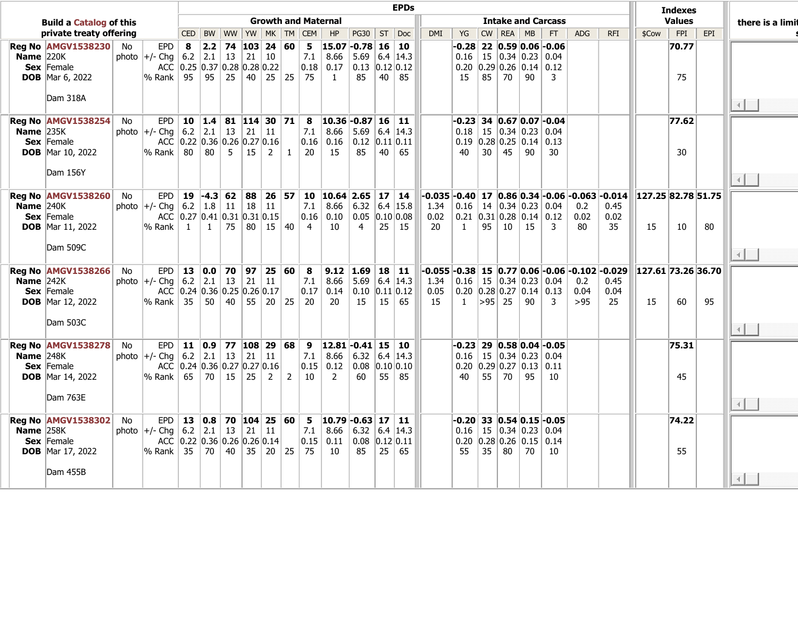|                                |                                                                                       |      |                                                                                                            | <b>EPDs</b> |                                                         |  |                                                                       |  |  |  |                                                                                                                                                                                      |                |                      |  |                    |                                                                                                                          |  | <b>Indexes</b>               |                                                                                   |                      |                                                                                                                                    |       |                                      |             |  |
|--------------------------------|---------------------------------------------------------------------------------------|------|------------------------------------------------------------------------------------------------------------|-------------|---------------------------------------------------------|--|-----------------------------------------------------------------------|--|--|--|--------------------------------------------------------------------------------------------------------------------------------------------------------------------------------------|----------------|----------------------|--|--------------------|--------------------------------------------------------------------------------------------------------------------------|--|------------------------------|-----------------------------------------------------------------------------------|----------------------|------------------------------------------------------------------------------------------------------------------------------------|-------|--------------------------------------|-------------|--|
| <b>Build a Catalog of this</b> |                                                                                       |      |                                                                                                            |             | <b>Growth and Maternal</b><br><b>Intake and Carcass</b> |  |                                                                       |  |  |  |                                                                                                                                                                                      |                |                      |  |                    |                                                                                                                          |  | <b>Values</b>                | there is a limit                                                                  |                      |                                                                                                                                    |       |                                      |             |  |
|                                | private treaty offering                                                               |      |                                                                                                            |             |                                                         |  | CED   BW   WW   YW   MK   TM   CEM   HP                               |  |  |  |                                                                                                                                                                                      | PG30 ST Doc    |                      |  | <b>DMI</b>         |                                                                                                                          |  | YG   CW   REA   MB           | FT.                                                                               | ADG                  | <b>RFI</b>                                                                                                                         | \$Cow |                                      | $FPI$ $EPI$ |  |
| Name $ 220K $                  | <b>Reg No AMGV1538230</b><br>Sex Female<br><b>DOB</b> Mar 6, 2022<br>Dam 318A         | No   | photo $\left +\right $ - Chg   6.2   2.1   13   21   10<br>% Rank   95   95   25   40   25   25   75       | EPD   8     |                                                         |  | 2.2 74 103 24 60 <br>ACC 0.25 0.37 0.28 0.28 0.22                     |  |  |  | $5 \vert 15.07 \vert -0.78 \vert 16 \vert 10$<br>7.1   8.66   5.69   6.4   14.3<br> 0.18 0.17 0.13 0.12 0.12<br>$\mathbf{1}$                                                         | 85             | 40 85                |  |                    | $0.16$   15   0.34   0.23   0.04<br>$0.20$ 0.29 0.26 0.14 0.12                                                           |  | $15 \mid 85 \mid 70 \mid 90$ | $-0.28$ 22 0.59 0.06 - 0.06<br>$\overline{3}$                                     |                      |                                                                                                                                    |       | 70.77<br>75                          |             |  |
| Name $ 235K $                  | Reg No AMGV1538254<br>Sex Female<br><b>DOB</b> Mar 10, 2022<br>Dam 156Y               | No   | photo $\left +\right $ - Chg   6.2   2.1   13   21   11<br>$\sqrt{8}$ Rank   80   80   5   15   2   1   20 |             |                                                         |  | EPD   10   1.4   81   114   30   71  <br>ACC 0.22 0.36 0.26 0.27 0.16 |  |  |  | 8 $ 10.36 $ -0.87 16 11<br>7.1   8.66   5.69   6.4   14.3<br> 0.16 0.16 0.12 0.11 0.11<br>15                                                                                         | 85             | $40 \mid 65$         |  |                    | $0.18$   15   0.34   0.23   0.04<br>$0.19$ 0.28 0.25 0.14 0.13<br>40                                                     |  | 30   45   90                 | $-0.23$ 34 0.67 0.07 - 0.04<br>30                                                 |                      |                                                                                                                                    |       | 77.62<br>30                          |             |  |
| Name $240K$                    | <b>Reg No AMGV1538260</b><br>Sex Female<br><b>DOB</b> Mar 11, 2022<br>Dam 509C        | No   | photo +/- Chg   6.2   1.8   11   18   11                                                                   |             |                                                         |  | ACC 0.27 0.41 0.31 0.31 0.15<br>$1 \t 75 \t 80 \t 15 \t 40 \t 4$      |  |  |  | EPD   19 -4.3 62 88 26 57 10 10.64 2.65 17 14<br>7.1   8.66   6.32   6.4   15.8<br> 0.16 0.10 0.05 0.10 0.08<br>10                                                                   | $\overline{4}$ | 25   15              |  | 1.34<br>0.02<br>20 | $\vert 0.21 \vert 0.31 \vert 0.28 \vert 0.14 \vert 0.12$                                                                 |  | 1   95   10   15             | $\mid 0.16 \mid 14 \mid 0.34 \mid 0.23 \mid 0.04 \mid$<br>$\overline{\mathbf{3}}$ | 0.2<br>0.02<br>80    | $\mid$ -0.035 $\mid$ -0.40 $\mid$ 17 $\mid$ 0.86 $\mid$ 0.34 $\mid$ -0.06 $\mid$ -0.063 $\mid$ -0.014 $\mid$<br>0.45<br>0.02<br>35 | 15    | $127.25$ 82.78 51.75<br>10           | 80          |  |
| Name $242K$                    | <b>Reg No AMGV1538266</b><br>Sex Female<br><b>DOB</b> Mar 12, 2022<br>Dam 503C        | No.  | photo +/- Chg   6.2   2.1   13   21   11<br>% Rank 35 50 40 55 20 25 20                                    |             |                                                         |  | ACC 0.24 0.36 0.25 0.26 0.17                                          |  |  |  | EPD   13   0.0   70   97   25   60   8   9.12   1.69   18   11<br>$7.1$   8.66   5.69   6.4   14.3<br>$ 0.17 $ 0.14 0.10 0.11 0.12<br>20                                             |                | $15 \mid 15 \mid 65$ |  | 1.34<br>0.05<br>15 | $\vert 0.16 \vert 15 \vert 0.34 \vert 0.23 \vert 0.04$<br>$\vert 0.20 \vert 0.28 \vert 0.27 \vert 0.14 \vert 0.13 \vert$ |  | $1$ >95 25 90                | $\overline{\mathbf{3}}$                                                           | 0.2<br>0.04<br>$>95$ | $\mid$ -0.055 $\mid$ -0.38 $\mid$ 15 $\mid$ 0.77 $\mid$ 0.06 $\mid$ -0.06 $\mid$ -0.102 $\mid$ -0.029 $\mid$<br>0.45<br>0.04<br>25 | 15    | $\parallel$ 127.61 73.26 36.70<br>60 | 95          |  |
| Name $248K$                    | <b>Reg No AMGV1538278</b><br><b>Sex</b> Female<br><b>DOB</b> Mar 14, 2022<br>Dam 763E | No   | photo $\left +\right $ - Chg   6.2   2.1   13   21   11<br>% Rank 65 70 15 25 2 2 10                       |             |                                                         |  | ACC 0.24 0.36 0.27 0.27 0.16                                          |  |  |  | EPD   11   0.9   77   108   29   68   9   12.81   -0.41   15   10<br>$\mid$ 7.1 $\mid$ 8.66 $\mid$ 6.32 $\mid$ 6.4 $\mid$ 14.3<br>$ 0.15 $ 0.12 $ 0.08 $ 0.10 0.10<br>$\overline{2}$ |                | $60$ 55 85           |  |                    | $0.16$   15 0.34 0.23 0.04<br>$0.20$ 0.29 0.27 0.13 0.11                                                                 |  | 40 55 70 95                  | $-0.23$ 29 0.58 0.04 - 0.05<br>10                                                 |                      |                                                                                                                                    |       | 75.31<br>45                          |             |  |
| Name $ 258K $                  | <b>Reg No AMGV1538302</b><br>Sex Female<br><b>DOB</b> Mar 17, 2022<br>Dam 455B        | No . | photo +/- Chg   6.2   2.1   13   21   11<br>$\sqrt{8}$ Rank 35 70 40 35 20 25 75                           |             |                                                         |  | ACC 0.22 0.36 0.26 0.26 0.14                                          |  |  |  | EPD   13   0.8   70   104   25   60   5   10.79 - 0.63   17   11<br>$\mid$ 7.1 $\mid$ 8.66 $\mid$ 6.32 $\mid$ 6.4 $\mid$ 14.3<br> 0.15  0.11   0.08   0.12   0.11<br>- 10            | 85             | $25 \mid 65$         |  |                    | $0.16$   15 0.34 0.23 0.04<br>$0.20$ 0.28 0.26 0.15 0.14<br>55                                                           |  | $35$ 80 70                   | $-0.20$ 33 $0.54$ 0.15 $-0.05$<br>10                                              |                      |                                                                                                                                    |       | 74.22<br>55                          |             |  |